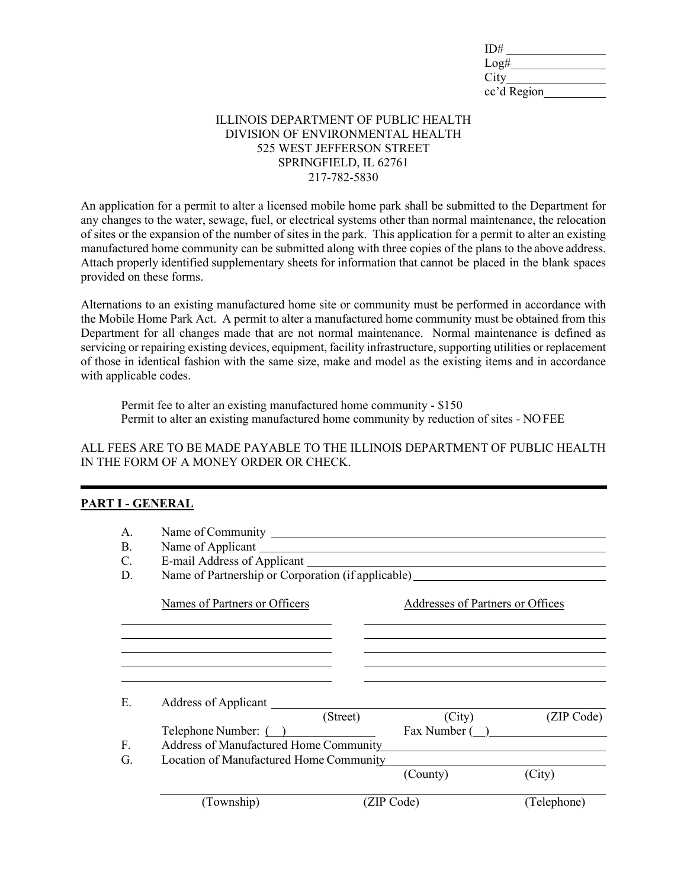| ID#         |  |
|-------------|--|
| Log#        |  |
| City        |  |
| cc'd Region |  |

## ILLINOIS DEPARTMENT OF PUBLIC HEALTH DIVISION OF ENVIRONMENTAL HEALTH 525 WEST JEFFERSON STREET SPRINGFIELD, IL 62761 217-782-5830

An application for a permit to alter a licensed mobile home park shall be submitted to the Department for any changes to the water, sewage, fuel, or electrical systems other than normal maintenance, the relocation of sites or the expansion of the number of sites in the park. This application for a permit to alter an existing manufactured home community can be submitted along with three copies of the plans to the above address. Attach properly identified supplementary sheets for information that cannot be placed in the blank spaces provided on these forms.

Alternations to an existing manufactured home site or community must be performed in accordance with the Mobile Home Park Act. A permit to alter a manufactured home community must be obtained from this Department for all changes made that are not normal maintenance. Normal maintenance is defined as servicing or repairing existing devices, equipment, facility infrastructure, supporting utilities or replacement of those in identical fashion with the same size, make and model as the existing items and in accordance with applicable codes.

Permit fee to alter an existing manufactured home community - \$150 Permit to alter an existing manufactured home community by reduction of sites - NOFEE

ALL FEES ARE TO BE MADE PAYABLE TO THE ILLINOIS DEPARTMENT OF PUBLIC HEALTH IN THE FORM OF A MONEY ORDER OR CHECK.

## **PART I - GENERAL**

| A.<br><b>B.</b><br>C.<br>D. | Name of Applicant<br>E-mail Address of Applicant<br>Name of Partnership or Corporation (if applicable) |            |                                  |             |
|-----------------------------|--------------------------------------------------------------------------------------------------------|------------|----------------------------------|-------------|
|                             | Names of Partners or Officers                                                                          |            | Addresses of Partners or Offices |             |
|                             |                                                                                                        |            |                                  |             |
|                             |                                                                                                        |            |                                  |             |
| Е.                          | Address of Applicant                                                                                   | (Street)   | (City)                           | (ZIP Code)  |
| $F_{\rm c}$                 | Telephone Number: ()<br>Fax Number ()<br>Address of Manufactured Home Community                        |            |                                  |             |
| G.                          | Location of Manufactured Home Community                                                                |            | (County)                         | (City)      |
|                             | (Township)                                                                                             | (ZIP Code) |                                  | (Telephone) |